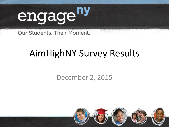

Our Students. Their Moment.

## AimHighNY Survey Results

### December 2, 2015

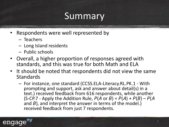## **Summary**

- Respondents were well represented by
	- Teachers
	- Long Island residents
	- Public schools
- Overall, a higher proportion of responses agreed with standards, and this was true for both Math and ELA
- It should be noted that respondents did not view the same **Standards** 
	- For instance, one standard (CCSS.ELA-Literacy.RL.PK.1 With prompting and support, ask and answer about detail(s) in a text.) received feedback from 616 respondents, while another (S-CP.7 - Apply the Addition Rule,  $P(A \text{ or } B) = P(A) + P(B) - P(A)$ and  $B$ ), and interpret the answer in terms of the model.) received feedback from just 7 respondents.

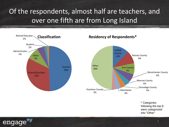Of the respondents, almost half are teachers, and over one fifth are from Long Island



engage

\* Categories following the top 8 were categorized into "Other"

3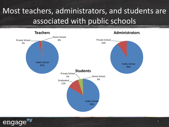## Most teachers, administrators, and students are associated with public schools



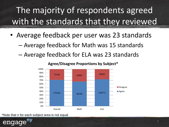## The majority of respondents agreed with the standards that they reviewed

- Average feedback per user was 23 standards
	- Average feedback for Math was 15 standards
	- Average feedback for ELA was 23 standards



**Agree/Disagree Proportions by Subject\***

\*Note that n for each subject area is not equal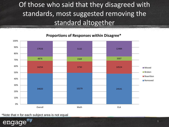## Of those who said that they disagreed with standards, most suggested removing the standard altogether

#### **Proportions of Responses within Disagree\***



\*Note that n for each subject area is not equal

engage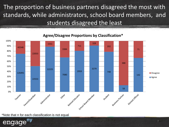The proportion of business partners disagreed the most with standards, while administrators, school board members, and students disagreed the least

#### 100% 328 1551 90% 711 202 42548 3384 71 80% 22053 70% 60% 388 50% 3279 12225 40% 2959 748 126491 **Disagree** 7080 142 30% ■ Agree 22553 20% 10% 58 0% School Board Member Patent/Guardian Retired Educator Business partner Elected Official Administrator Student Teacher Other

#### **Agree/Disagree Proportions by Classification\***

\*Note that n for each classification is not equal

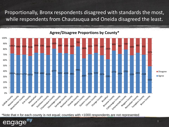Proportionally, Bronx respondents disagreed with standards the most, while respondents from Chautauqua and Oneida disagreed the least.



#### **Agree/Disagree Proportions by County\***

\*Note that n for each county is not equal; counties with <1000 respondents are not represented

engage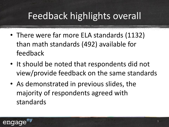## Feedback highlights overall

- There were far more ELA standards (1132) than math standards (492) available for feedback
- It should be noted that respondents did not view/provide feedback on the same standards
- As demonstrated in previous slides, the majority of respondents agreed with standards

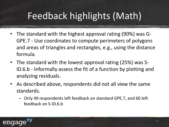## Feedback highlights (Math)

- The standard with the highest approval rating (90%) was G-GPE.7 - Use coordinates to compute perimeters of polygons and areas of triangles and rectangles, e.g., using the distance formula.
- The standard with the lowest approval rating (25%) was S-ID.6.b - Informally assess the fit of a function by plotting and analyzing residuals.
- As described above, respondents did not all view the same standards.
	- Only 49 respondents left feedback on standard GPE.7, and 60 left feedback on S-ID.6.b

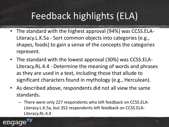## Feedback highlights (ELA)

- The standard with the highest approval (94%) was CCSS.ELA-Literacy.L.K.5a - Sort common objects into categories (e.g., shapes, foods) to gain a sense of the concepts the categories represent.
- The standard with the lowest approval (30%) was CCSS.ELA-Literacy.RL.4.4 - Determine the meaning of words and phrases as they are used in a text, including those that allude to significant characters found in mythology (e.g., Herculean).
- As described above, respondents did not all view the same standards.
	- There were only 227 respondents who left feedback on CCSS.ELA-Literacy.L.K.5a, but 352 respondents left feedback on CCSS.ELA-Literacy.RL.4.4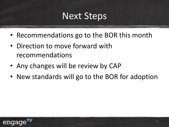## Next Steps

- Recommendations go to the BOR this month
- Direction to move forward with recommendations
- Any changes will be review by CAP
- New standards will go to the BOR for adoption